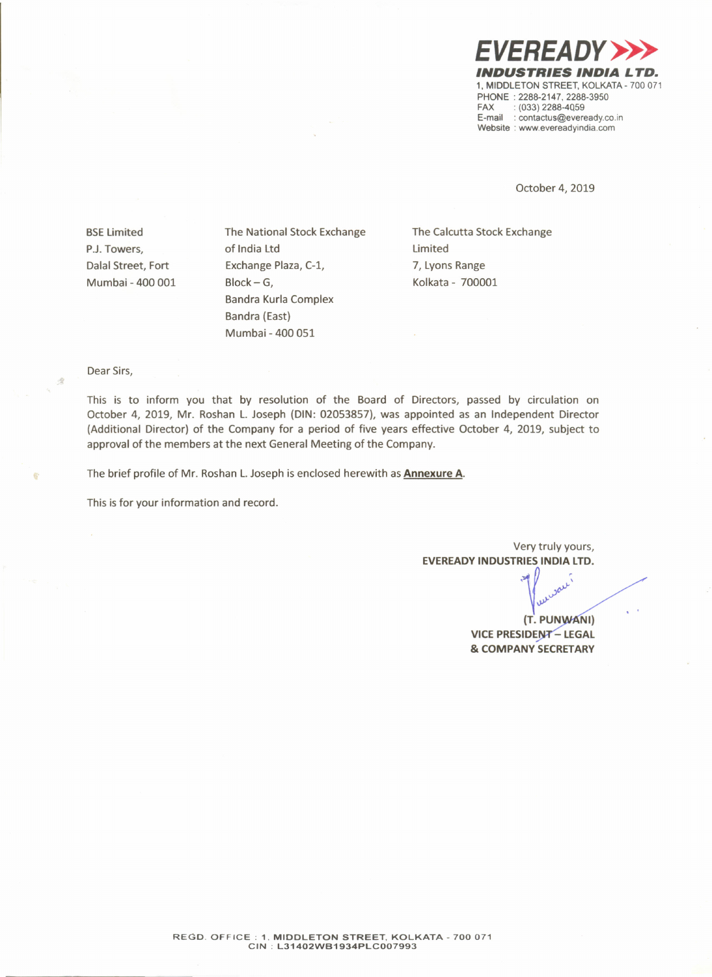*EVEREADY»> INDUSTRIES INDIA LTD.* 1. MIDDLETON STREET. KOLKATA-700 071 PHONE: 2288-2147, 2288-3950<br>FAX: : (033) 2288-4059  $(033)$  2288-4059 E-mail: contactus@eveready.co.in Website : www.evereadyindia.com

October 4, 2019

**BSE Limited** P.J. Towers, Dalal Street, Fort Mumbai - 400 001 The National Stock Exchange of India Ltd Exchange Plaza, C-l, Block- G, Bandra Kurla Complex Bandra (East) Mumbai - 400 051

The Calcutta Stock Exchange Limited 7, Lyons Range Kolkata - 700001

Dear Sirs,

 $\mathcal{A}$ 

This is to inform you that by resolution of the Board of Directors, passed by circulation on October 4, 2019, Mr. Roshan L. Joseph (DIN: 02053857), was appointed as an Independent Director (Additional Director) of the Company for a period of five years effective October 4, 2019, subject to approval of the members at the next General Meeting of the Company.

The brief profile of Mr. Roshan L. Joseph is enclosed herewith as Annexure A.

This is for your information and record.

Very truly yours, EVEREADY INDUSTRIES INDIA LTD.

> (T. PUNWANI) VICE PRESIDENT - LEGAL & COMPANY SECRETARY

 $\sqrt{2}$ .;»-

r

..